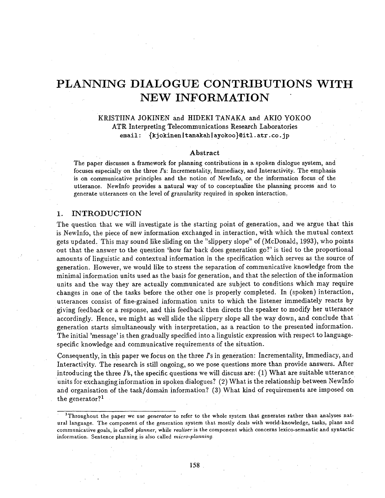# **PLANNING DIALOGUE CONTRIBUTIONS WITH NEW INFORMATION**

# KRISTIINA JOKINEN and HIDEKI TANAKA and AKI0 YOKO0 ATR Interpreting Telecommunications Research Laboratories email: {kjokinen|tanakah|ayokoo}@itl.atr.co.jp

#### **Abstract**

The paper discusses a framework for planning contributions in a spoken dialogue system, and focuses especially on the three  $\Gamma$ s: Incrementality, Immediacy, and Interactivity. The emphasis is on communicative principles and the notion of NewInfo, or the information focus of the utterance. NewInfo provides a natural way of to conceptualize the planning process and to generate utterances on the level of granularity required in spoken interaction.

### 1. INTRODUCTION

The question that we will investigate is the starting point of generation, and we argue that this is NewInfo, the piece of new information exchanged in interaction, with which the mutual context gets updated. This may sound like sliding on the "slippery slope" of (McDonald, 1993), who points out that the answer to the question 'how far back does generation go?' is tied to the proportional amounts of linguistic and contextual information in the specification which serves as the source of generation. However, we would like to stress the separation of communicative knowledge from the minimal information units used as the basis for generation, and that the selection of the information units and the way they are actually communicated are subject to conditions which may require changes in one of the tasks before the other one is properly completed. In (spoken) interaction, utterances consist of fine-grained information units to which the listener immediately reacts by giving feedback or a response, and this feedback then directs the speaker to modify her utterance accordingly. Hence, we might as well slide the slippery slope all the way down, and conclude that generation starts simultaneously with interpretation, as a reaction to the presented information. The initial 'message' is then gradually specified into a linguistic expression with respect to languagespecific knowledge and communicative requirements of the situation.

Consequently, in this paper we focus on the three  $\Gamma$ s in generation: Incrementality, Immediacy, and Interactivity. The research is still ongoing, so we pose questions more than provide answers. After introducing the three I's, the specific questions we will discuss are:  $(1)$  What are suitable utterance units for exchanging information in spoken dialogues? (2) What is the relationship between NewInfo and organisation of the task/domain information? (3) What kind of requirements are imposed on the generator?<sup>1</sup>

<sup>&</sup>lt;sup>1</sup>Throughout the paper we use *generator* to refer to the whole system that generates rather than analyses natural language. The component of the generation system that mostly deals with world-knowledge, tasks, plans and communicative goals, is called *planner,* while *realiser* is the component which concerns lexico-semantic and syntactic information. Sentence planning is also called *micro-planning.*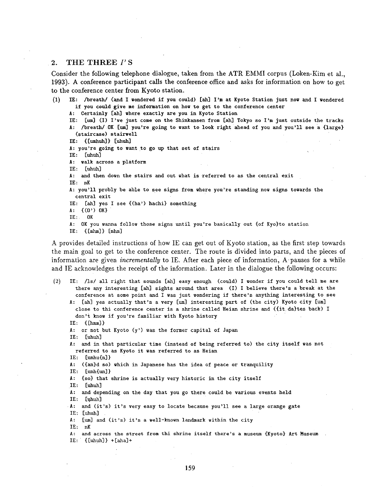#### **• 2.** THE THREE *I' S*

Consider the following telephone dialogue, taken from the ATR EMMI corpus (Loken-Kim et al., 1993). A conference participant calls the conference office and asks for information on how to get to the conference center from Kyoto station.

(1) IE: /breath/ (and I wondered if you could) [ah] I'm at Kyoto Station just now and I wondered if you could give me information on how to get to the conference center

**A:** Certainly [ah] where exactly are you in Kyoto Station

IE: [um] (I) I've just come on the Shinkansen from [ah] Tokyo so I'm just outside the tracks A: /breath/ OK [um] you're going to want to look right ahead of you and you'll see a {large} (staircase) stairwell

IZ: { [umhuh] } [uhuh]

A: you're going to want to go up that set of stairs

IE: [uhuh]

**A:** walk across a platform

IE: [uhuh]

- A: and then down the stairs and out what is referred to as the central exit IE: nK
- A: you'll probly be able to see signs from where you're standing now signs towards the central exit
- IE: [ah] yes I see {(ha') hachi} something
- A:  $\{(0')\}$  OK}
- IE: OK
- A: OK you wanna follow those signs until you're basically out {of Kyo}to station
- $IE: \{[mhm]\} \{mhm\}$

A provides detailed instructions of how IE can get out of Kyoto station, as the first step towards the main goal to get to the conference center. The route is divided into parts, and the pieces of information are given *incrementally* to IE. After each piece of information, A-pauses for a while and IE acknowledges the receipt of the information. Later in the dialogue the following occurs:

(2) IE: /ls/ all right that sounds [ah] easy enough (could) I wonder if you could tell me are there any interesting [ah] sights around that area (I) I believe there's a break at the conference at some point and I was just wondering if there's anything interesting to see

A: [ah] yes actually that's a very [um] interesting part of (the city) Kyoto city [um] close to thi conference center is a shrine called Heian shrine and ({it da}tes back) I don't know if you're familiar with Kyoto history

 $IE: \{[hmm]\}$ 

A: or not but Kyoto (y') was the former capital of Japan

IE: [uhuh]

A: and in that particular time (instead of being referred to) the city itself was not referred to as Kyoto it was referred to as Heian

IE: [unhu{n] }

 $IE: [unh{un}]$ 

A: {so} that shrine is actually very historic in the city itself

IE: [uhuh]

A: and depending on the day that you go there could be various events held IE: [uhuh]

• A: and (it's) it's very easy to locate because you'll see a large orange gate IE: [uhuh]

A: [um] and (it's) it's a well-known landmark within the city

IE: nK

- A: and across the street from thi shrine itself there's a museum {Kyoto} Art Museum
- IE:  $\{[\text{uhuh}]\}$  +  $[\text{aha}]$  +

A: ({an}d so) which in Japanese has the idea of peace or tranquility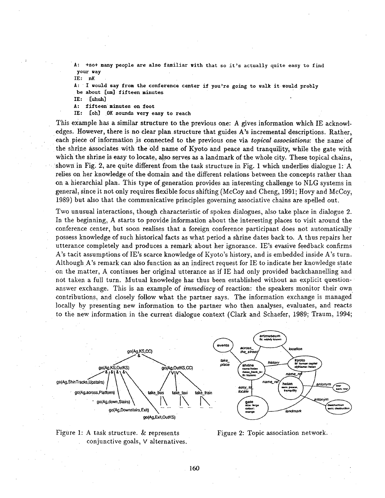+so+ many people are also familiar with that so it's actually quite easy to find your way

IE: nK

A: I would say from the conference center if you're going to walk it would probly **be about [um] fifteen** minutes

IE: [uhuh]

A: fifteen minutes on foot

IE: [oh] .OK sounds very easy to **reach** 

This example has a similar structure to the previous one: A gives information which IE acknowl- • edges. However, there is no clear plan structure that guides A's incremental descriptions. Rather, each piece of information js connected to the previous one via *topical associations:* the name of the shrine associates with the old name of Kyoto and peace and tranquility, while the gate with which the shrine is easy to locate, also serves as a landmark of the whole city. These topical chains, shown in Fig. 2, are quite different from the task structure in Fig. 1 which underlies dialogue 1: A relies on her knowledge of the domain and the different relations between the concepts rather than on a hierarchial plan. This type of generation provides an interesting challenge to NLG systems in genera/, since it not only requires flexible focus shifting (McCoy and Cheng, 1991; Hovy and McCoy, 1989) but also that the communicative principles governing associative chains are spelled out.

Two unusual interactions, though characteristic of spoken dialogues, also take place in dialogue 2. In the beginning, A starts to provide information about the interesting places to visit around the conference center, but soon realises that a foreign conference participant does not automatically possess knowledge of such historical facts as what period a shrine dates back to. A thus repairs her utterance completely and produces a remark about her ignorance. IE's evasive feedback confirms A's tacit assumptions of IE's scarce knowledge of Kyoto's history, and is embedded inside A's turn. Although A's remark can also function as an indirect request for IE to indicate her knowledge state. on the matter, A continues her original utterance as if IE had only provided backchannelling and not taken a full turn. Mutual knowledge has thus been established without an explicit questionanswer exchange. This is an example of *immediacy* of reaction: the speakers monitor their own contributions, and closely follow what the partner says. The information exchange is managed locally by presenting new information to the partner who then analyses, evaluates, and reacts to the new information in the current dialogue context (Clark and Schaefer, 1989; Traum, 1994;





Figure 2: Topic association network.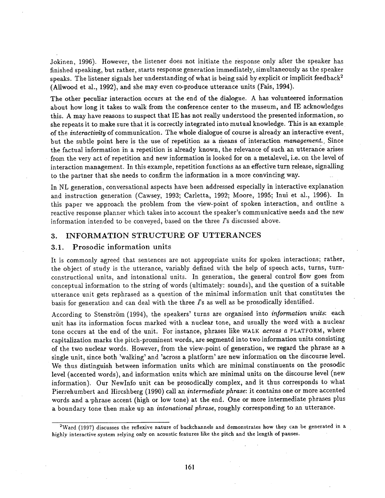Jokinen, 1996). However, the listener does not initiate the response only after the speaker has finished speaking, but rather, starts response generation immediately, simultaneously as the speaker speaks. The listener signals her understanding of what is being said by explicit or implicit feedback<sup>2</sup> (Allwood et al., 1992), and she may even co-produce utterance units (Fais, 1994).

The other peculiar interaction occurs at the end of the dialogue. A has volunteered information about how long it takes to walk from the conference center to the museum, and IE acknowledges this. A may have reasons to suspect that IE has not really understood the presented information, so she repeats it to make sure that it is correctly integrated into mutual knowledge. This is an example of the *interactivity* of communication. The whole dialogue of course is already an interactive event, but the subtle point here is the use of repetition as a means of interaction *management*. Since the factual information in a repetition is already known, the relevance of such an utterance arises from the very act Of repetition and new information is looked for on a metalevel, i.e. on the level of interaction management. In this example, repetition functions as an effective turn release, signalling to the partner that she needs to confirm the information in a more convincing way.

In NL generation, conversational aspects have been addressed especially in interactive explanation and instruction generation (Cawsey, 1993; Carletta, 1992; Moore, 1995; Inui et al., 1996). In this paper we approach the problem from the view-point of spoken interaction, and outline a reactive response planner which takes into account the speaker's communicative needs and the new information intended to be conveyed, based on the three  $~s$  discussed above.

## 3. INFORMATION STRUCTURE OF UTTERANCES

### 3.1. Prosodic information units

It is commonly agreed that sentences are not appropriate units for spoken interactions; rather, the object of study is the utterance, variably defined with the help of speech acts, turns, turnconstructional units, and intonational units. In generation, the general control flow goes from conceptual information to the string of words (ultimately: sounds), and the question of a suitable utterance unit gets rephrased as a question of the minimal information unit that constitutes the basis for generation and can deal with the three  $\Gamma$ s as well as be prosodically identified.

According to Stenström (1994), the speakers' turns are organised into *information units*: each unit has its information focus marked with a nuclear tone, and usually the word with a nuclear tone occurs at the end of the unit. For instance, phrases like WALK *across a* PLATFORM, where capitalization marks the pitch-prominent words, are segmentd into two information units consisting of the two nuclear words. However, from the view-point of generation, we regard the phrase as a single unit, since both 'walking' and 'across a platform' are new information on the discourse level. We thus distinguish between information units which are minimal constinuents on the prosodic level (accented words), and information units which are minimal units on the discourse level (new information). Our NewInfo unit can be prosodically complex, and it thus corresponds to what Pierrehumbert and Hircshberg (1990) call an *intermediate phrase:* it contains one or more accented words and a-phrase accent (high or low tone) at the end. One or more intermediate phrases plus a boundary tone then make up an *intonational phrase*, roughly corresponding to an utterance.

<sup>2</sup>Ward (1997) discusses the reflexive nature of backchannels and demonstrates how they can be generated in a highly interactive system relying only on acoustic features like the pitch and the length of pauses.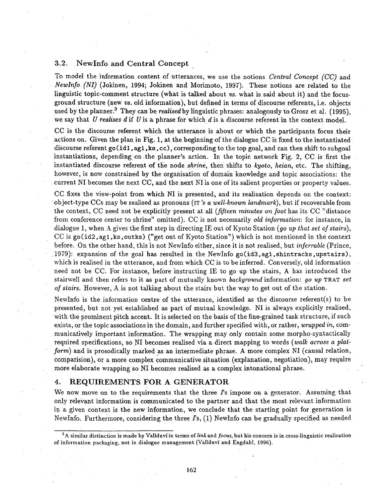## 3.2. NewInfo and Central Concept

To model the information content of utterances, we use the notions *Central Concept (CC)* and *Newlnfo (NI)* (Jokinen, 1994; Jokinen and Morimoto, 1997). These notions are related to the linguistic topic-comment structure (what is talked about *vs.* what is said about it) and the focusground structure (new *vs.* old information), but defined in terms of discourse referents, i.e. objects used by the planner.<sup>3</sup> They can be *realised* by linguistic phrases: analogously to Grosz et al. (1995), we say that U realises  $d$  if U is a phrase for which  $d$  is a discourse referent in the context model.

CC is the discourse referent which the utterance is about or which the participants focus their actions on. Given the plan in Fig. 1, at the beginning of the dialogue CC is fixed to the instantiated discourse referent go(id1,  $aq1$ , ks, cc), corresponding to the top goal, and can then shift to subgoal instantiations, depending on the planner's action. In the topic network Fig. 2, CC is first the instantiated discourse referent of the node *shrine*, then shifts to *kyoto*, *heian*, etc. The shifting, however, is now constrained by the organisation of domain knowledge and topic associations: the current NI becomes the next CC, and the next NIis one of its salient properties or property values.

CC fixes the view-point from which NI is presented, and its realisation depends on the context: object-type CCs may be realised as pronouns (IT *~ a well-known landmark),* but if recoverable from the context, CC need not be explicitly present at all *(fifteen minutes on foot* has its CC "distance from conference center to shrine" omitted). CC is not necessarily *old information:* for instance, in dialogue 1, when A gives the first step in directing IE out of Kyoto Station (*go up that set of stairs*), CC is  $\gcd(\text{id2}, \text{ag1}, \text{ks}, \text{outks})$  ("get out of Kyoto Station") which is not mentioned in the context before. On the other hand, this is not NewInfo either, since it is not realised, but *inferrable* (Prince, 1979): expansion of the goal has resulted in the NewInfo go(id3,ag1,shintracks,upstairs), which is realised in the utterance, and from which CC is to be inferred. Conversely, old information need not be CC. For instance, before instructing IE to go up the stairs, A has introduced the stairwell and then refers to it as part of mutually known *background* information: *go up* THAT *set of stairs.* However, A is not talking about the stairs but the way to get out of the station.

NewInfo is the information centre of the utterance, identified as the discourse referent(s) to be presented, but not yet established as part of mutual knowledge. NI is always explicitly realised, with the prominent pitch accent. It is selected on the basis of the fine-grained task structure, if such exists, Or the topic associations in the domain, and further specified with, or *rather, wrapped in,* communicatively important information. The wrapping may only contain some morpho-syntactically required specifications, so NI becomes realised via a direct mapping to words *(walk across a platform)* and is prosodically marked as an intermediate phrase. A more complex NI (causal relation, comparision), or a more complex communicative situation (explanation, negotiation), may require more elaborate wrapping so NI becomes realised as a complex intonational phrase.

## 4. REQUIREMENTS FOR A GENERATOR

We now move on to the requirements that the three  $\Gamma$ s impose on a generator. Assuming that only relevant information is communicated to the partner and that the most relevant information in a given context is the new information, we conclude that the starting point for generation is NewInfo. Furthermore, considering the three  $\mathit{Fs}$ , (1) NewInfo can be gradually specified as needed

<sup>&</sup>lt;sup>3</sup>A similar distinction is made by Vallduví in terms of *link* and *focus*, but his concern is in cross-linguistic realisation of information packaging, not in dialogue management (Vallduvi and Engdahl, 1996).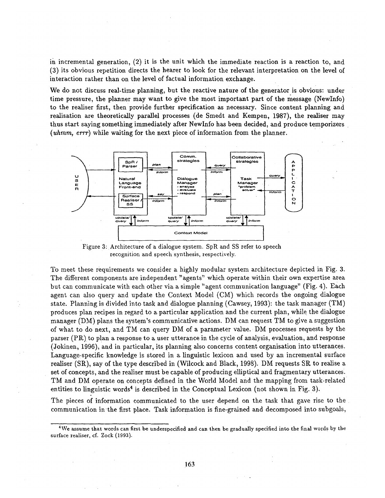**in incremental generation, (2) it is the unit which the immediate reaction is a reaction to, and (3) its obvious repetition directs the hearer to look for the relevant interpretation on the level of interaction rather than on the level of factual information exchange.** 

We do not discuss real-time planning, but the reactive nature of the generator is obvious: under **time pressure, the planner may want to give the most important part of the message (NewInfo) to the realiser first, then provide further specification as necessary. Since content planning and realisation are theoretically parallel processes (de Smedt and Kempen, 1987), the realiser may thus start saying something immediately after NewInfo has been decided, and produce temporizers**  *(uhmm,* **errr) while waiting for the next piece of information from the planner.** 



**Figure 3: Architecture of a dialogue system. SpR and SS refer to speech recognition and speech synthesis, respectively.** 

**To meet these requirements we consider a highly modular system architecture depicted in Fig. 3. The different components are independent "agents" which operate within their own expertise area but can communicate with each other via a simple "agent communication language" (Fig. 4). Each agent can also query and update the Context Model (CM) which records the ongoing dialogue state. Planning is divided into task and dialogue planning (Cawsey, 1993): the task manager (TM) produces plan recipes in regard to a particular application and the current plan, while the dialogue manager (DM) plans the system's communicative actions. DM can request TM to give a suggestion of what to do next, and TM can query DM of a parameter value. DM processes requests by the parser (PR)** to plan a response to a user utterance in the cycle of analysis, evaluation, and response **(3okinen, 1996), and in particular, its planning also concerns content organisation into utterances.**  Language-specific knowledge is stored in a linguistic lexicon and used by an incremental surface realiser (SR), say of the type described in (Wilcock and Black, 1998). DM requests SR to realise a **set of concepts, and the realiser must be capable of producing elliptical and fragmentary utterances. TM and DM operate on concepts defined in the World Model and the mapping from task-related**  entities to linguistic words<sup>4</sup> is described in the Conceptual Lexicon (not shown in Fig. 3).

**The pieces of information communicated to the user depend on the task that gave rise to the communication in the first place. Task information is fine-grained and decomposed into subgoals,** 

**<sup>4</sup>We assume that words can first be underspecified and can then be gradually specified into the final words by the surface realiser, cf. Zock (1993).**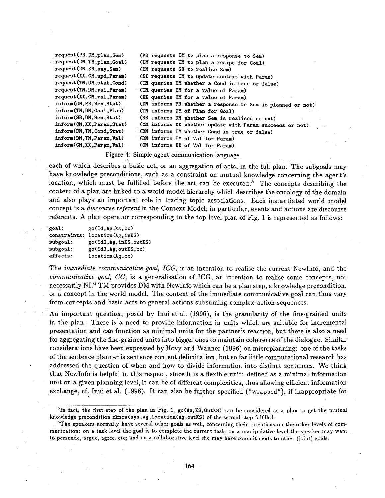request(PR,DM,plan,Sem) request(DM,TM,plan,Goal) request(DM,SR,say,Sem) request(XX,CM,upd,Param) request(TM,DM,stat,Cond) request(TM,DM,val,Param) request(XX,CM,val,Param) inform(DH,pR,Sem,Stat) inform(TM,DM,Goal,Plan) inform(SR,DM,Sem,Stat) inform(CM,XX,Param,Stat) inform(DM,TM,Cond,Stat) inform(DM,TM,Param,Val) (PR requests DM to plan a response to Sem) (DM requests TM to plan a recipe for Goal) (DM requests SR to realise Sem) (XX requests CM to update context with Param) (TM queries DM whether a Cond is true or false) • (TM queries DM for a **value of** Param) (XX queries CH for a value of Param) (DM informs PR whether a response to Sem is planned or not) (TM informs DM of Plan for Goal) (SR informs DM whether Sem is realised or not) (CM informs XX whether update with Param succeeds or not) -(DM informs 'I'M whether Cond is true or false) (DM informs TM of Yal for Param) inform(CM,XX,Param,Val) (CM informs XX of Val for Param)

Figure 4: Simple agent communication language.

each of which describes a basic act, or an aggregation of acts, in the full plan. The subgoals may have knowledge preconditions, such as a constraint on mutual knowledge concerning the agent's location, which must be fulfilled before the act can be executed.<sup>5</sup> The concepts describing the content of a plan are linked to a world model hierarchy which describes the ontology of the domain and also plays an important role in tracing topic associations. Each instantiated world model concept is a *discourse referent* in the Context Model; in particular, events and actions are discourse referents. A plan operator corresponding to the top level plan of Fig. 1 is represented as follows:

| goal:    | go(Id,Ag,ks,cc)                 |
|----------|---------------------------------|
|          | constraints: location(Ag, inKS) |
| subgoal: | go(Id2, Ag, inKS, outKS)        |
| subgoal: | go(Id3, Ag, outKS, cc)          |
| effects: | location(Ag, cc)                |

The *immediate communicative goal, ICG,* is an intention to realise the current NewInfo, and the *communicative goal, CG,* is a generalisation of ICG, an intention to realise some concepts, not necessarily NI.<sup>6</sup> TM provides DM with NewInfo which can be a plan step, a knowledge precondition, or a concept in the world model. The content of the immediate communicative goal can thus vary from concepts and basic acts to general actions subsuming complex action sequences.

An important question, posed by Inui et al. (1996), is the granularity of the fine-grained units in the plan. There is a need to provide information in units which are suitable for incremental presentation and can function as minimal units for the partner's reaction, but there is also a need for aggregating the fine-grained units into bigger ones to maintain coherence of the dialogue. Similar considerations have been expressed by Hovy and Wanner (1996) on microplanning: one of the tasks of the sentence planner is sentence content delimitation, but so far little computational research has addressed the question of when and how to divide information into distinct sentences. We think that NewInfo is helpful in this respect, since it is a flexible unit: defined as a minimal information unit on a given planning level, it can be of different complexities, thus allowing efficient information exchange, cf. Inui et al. (1996). It can also be further specified ("wrapped"), if inappropriate for

<sup>&</sup>lt;sup>5</sup>In fact, the first step of the plan in Fig. 1, go( $Ag,KS,OutKS$ ) can be considered as a plan to get the mutual knowledge precondition mknow(sys,ag,location(ag,outKS) of the second step fulfilled.

 $e^{\epsilon}$ The speakers normally have several other goals as well, concerning their intentions on the other levels of communication: on a task level the goal is to complete the Current task; on a manipulative level the speaker may want to persuade, argue, agree, etc; and on a collaborative level she may have commitments to other (joint) goals.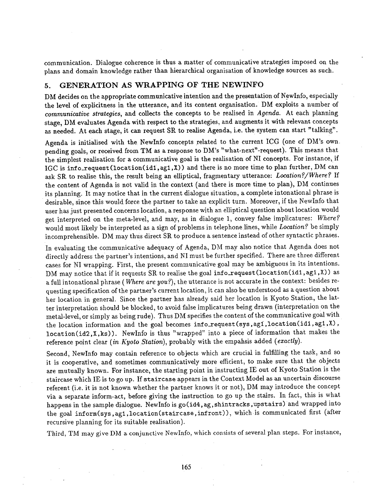communication. Dialogue coherence is thus a matter of communicative strategies imposed on the plans and domain knowledge rather than hierarchical organisation of knowledge sources as such.

# 5. GENERATION AS WRAPPING OF THE NEWINFO

DM decides on the appropriate communicative intention and the presentation of NewInfo, especially the level of explicitness in the utterance, and its content organisation. DM exploits a number of *communicative strategies, and collects the concepts to be realised in Agenda.* At each planning stage, DM evaluates Agenda with respect to the strategies, and augments it with relevant concepts as needed. At each stage, it can request SR to realise Agenda, i.e. the system cam start "talking".

Agenda is initialised with the Newlnfo concepts related to the current ICG (one of DM's own. pending goals, or received from TM as a response to DM's "what-next'-request). This means that the simplest realisation for a communicative goal is the realisation of NI concepts. For instance, if IGC is info\_request (location(idi,agl,X)) and there is no more time to plan further, DM can ask SR to realise this, the result being an elliptical, fragmentary utterance: *Location?/Where?* If the content of Agenda is not valid in the context (and there is more time to plan), DM continues its planning. It may notice that in the current dialogue situation, a complete intonational phrase is desirable, since this would force the partner to take an explicit turn. Moreover, if the NewInfo that user has just presented concerns location, a response with an elliptical question about location would get interpreted on the meta-level, and may, as in dialogue 1, convey false implicatures: *Where?*  would most likely be interpreted as a sign of problems in telephone lines, while *Location?* be simply incomprehensible. DM may thus direct SR to produce a sentence instead of other syntactic phrases.

In evaluating the communicative adequacy of Agenda, DM may also notice that Agenda does not directly address the partner's intentions, and NI must be further specified. There are three different cases for NI wrapping. First, the present communicative goal may be ambiguous in its intentions. DM may notice that if it requests SR to realise the goal info\_request(location(id1, ag1,X)) as a full intonational phrase ( *Where are you?),* the utterance is not accurate in the context: besides requesting specification of the partner's current location, it can also be understood as a question about her location in general. Since the partner has already said her location is Kyoto Station, the latter interpretation should be blocked, to avoid false implicatures being drawn (interpretation on the metal-level, or simply as being rude). Thus DM specifies the content of the communicative goal with the location information and the goal becomes info\_request(sys, ag1,location(id1, ag1,X), location(id2,X,ks)). NewInfo is thus "wrapped" into a piece of information that makes the reference point clear *(in Kyoto Station)*, probably with the empahsis added *(exactly)*.

Second, NewInfo may contain reference to objects which are crucial in fulfilling the task, and so it is cooperative, and sometimes communicatively more efficient, to make sure that the objects are mutually known. For instance, the starting point in instructing IE out of Kyoto Station is the staircase which IE is to go up. If staircase appears in the Context Model as an uncertain discourse referent (i.e. it is not known whether the partner knows it or not), DM may introduce the concept via a separate inform-act, before giving the instruction to go up the stairs. In fact, this is what happens in the sample dialogue. NewInfo is go(id4, ag, shintracks, upstairs) and wrapped into the goal inform(sys,agl,location(staircase,infront)), which is communicated first (after recursive planning for its suitable realisation).

Third, TM may give DM a conjunctive NewInfo, which consists of several plan steps. For instance,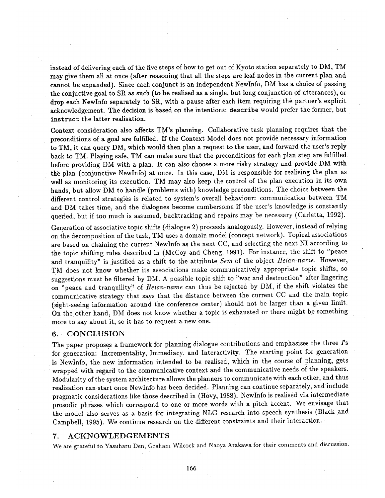instead of delivering each of the five steps of how to get out of Kyoto station separately to DM, TM may give them all at once (after reasoning that all the steps are leaf-nodes in the current plan and cannot be expanded). Since each conjunct is an independent NewInfo, DM has a choice of passing the conjuctive goal to SR as such (to be realised as a single, but long conjunction of utterances), or drop each NewInfo separately to SR, with a pause after each item requiring the partner's explicit acknowledgement. The decision is based on the intentions: describe would prefer the former, but instruct the latter realisation.

Context consideration also affects TM's planning. Collaborative task planning requires that the preconditions of a goal are fulfilled. If the Context Model does not provide necessary information to TM, it can query DM, which would then plan a request to the user, and forward the user's reply back to TM. Playing safe, TM can make sure that the preconditions for each plan step are fulfilled before providing DM with a plan. It can also choose a more risky strategy and provide DM with the plan (conjunctive NewInfo) at once. In this case, DM is responsible for realising the plan as well as monitoring its execution. TM may also keep the control of the plan execution in its own hands, but allow DM to handle (problems with) knowledge preconditions. The choice between the different control strategies is related to system's overall behaviour: communication between TM and DM takes time, and the dialogues become cumbersome if the user's knowledge is constantly queried, but if too much is assumed, backtracking and repairs may be necessary (Carletta, 1992).

Generation of associative topic shifts (dialogue 2) proceeds analogously. However, instead of relying on the decomposition of the task, TM uses a domain model (concept network). Topical associations are based on chaining the current NewInfo as the next CC, and selecting the next NI according to the topic shifting rules described in (McCoy and Cheng, 1991). For instance, the shift to "peace and tranquility" is justified as a shift to the attribute *Sern* of the object *Heian-name.* However, TM does not know whether its associations make communicatively appropriate topic shifts, so suggestions must be filtered by DM. A possible topic shift to "war and destruction" after lingering on "peace and tranquility" of *Heian-name* can thus be rejected by DM, if the shift violates the communicative strategy that says that the distance between the current CC and the main topic (sight-seeing information around the conference center) should not be larger than a given limit. On the other hand, DM does not know whether a topic is exhausted or there might be something more to say about it, so it has to request a new one.

## 6. CONCLUSION

The paper proposes a framework for planning dialogue contributions and emphasises the three  $\Gamma$ s for generation: Incrementality, Immediacy, and Interactivity. The starting point for generation is NewInfo, the new information intended to be realised, which in the course of planning, gets wrapped with regard to the communicative context and the communicative needs of the speakers. Modularity of the system architecture allows the planners to communicate with each other, and thus realisation canstart once NewInfo has been decided. Planning can continue separately, and include pragmatic considerations like those described in (Hovy, 1988). NewInfo is realised via intermediate prosodic phrases which correspond to one or more words with a pitch accent. We envisage that the model also serves as a basis for integrating NLG research into speech synthesis (Black and Campbell, 1995). We continue research on the different constraints and their interaction.

#### 7. ACKNOWLEDGEMENTS

We are grateful to Yasuharu Den, Graham Wilcock and Naoya Arakawa for their comments and discussion.